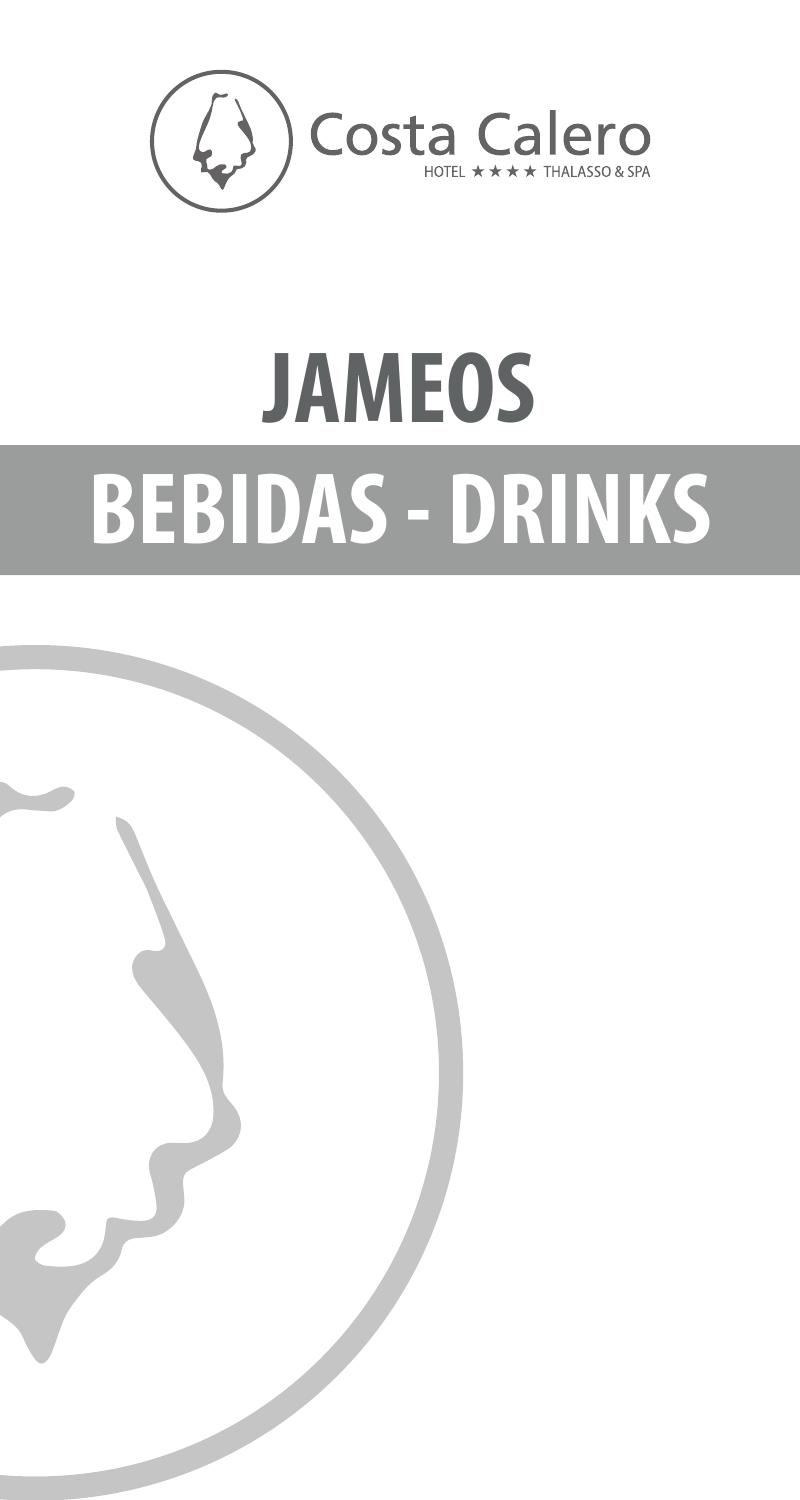

## **JAMEOS BEBIDAS - DRINKS**

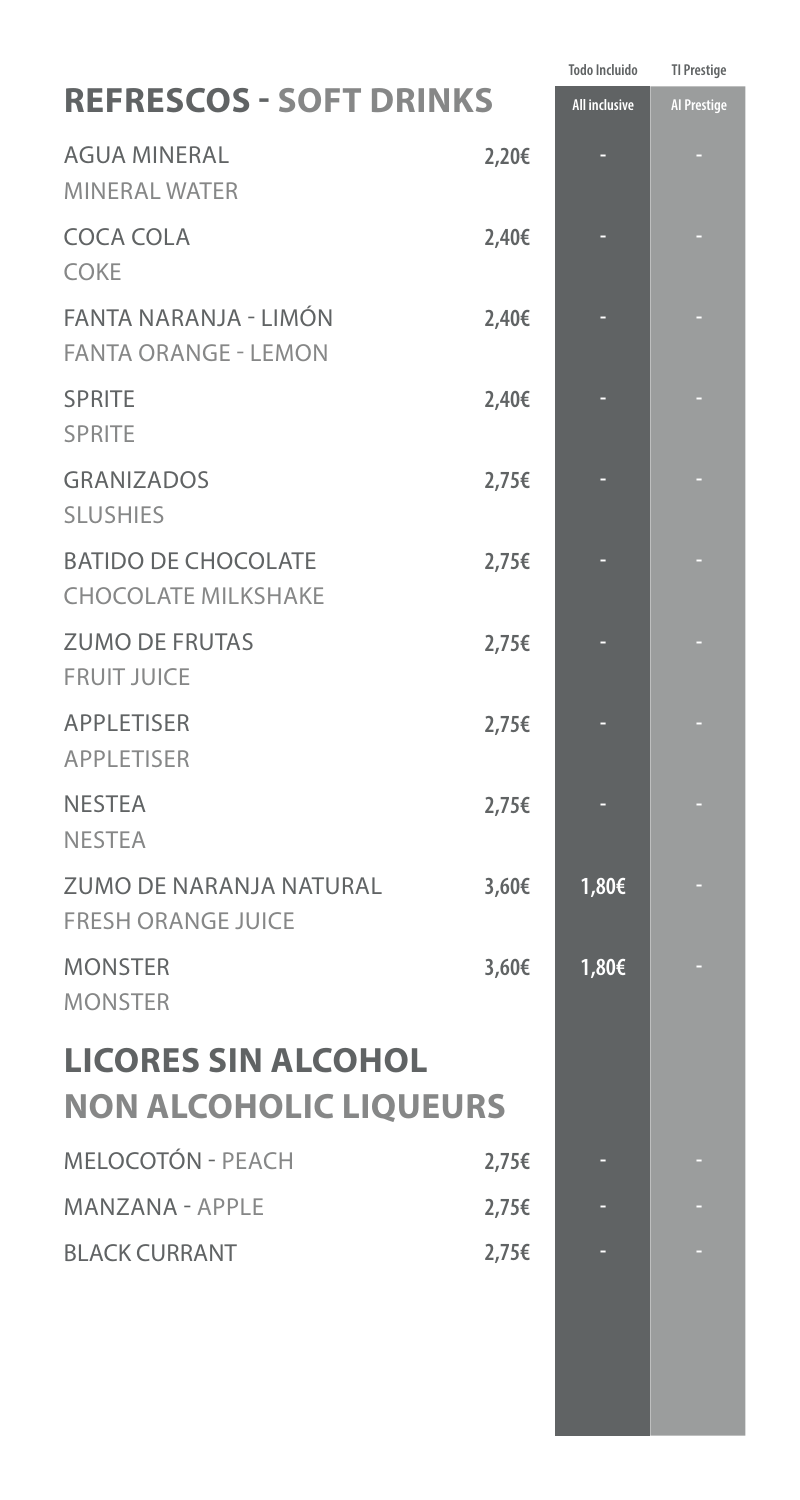|                                                             |       | <b>Todo Incluido</b> | <b>TI Prestige</b> |
|-------------------------------------------------------------|-------|----------------------|--------------------|
| <b>REFRESCOS - SOFT DRINKS</b>                              |       | <b>All inclusive</b> | <b>Al Prestige</b> |
| <b>AGUA MINERAL</b><br><b>MINERAL WATER</b>                 | 2,20€ |                      |                    |
| <b>COCA COLA</b><br><b>COKE</b>                             | 2,40€ |                      |                    |
| FANTA NARANJA - LIMÓN<br><b>FANTA ORANGE - LEMON</b>        | 2,40€ |                      |                    |
| <b>SPRITE</b><br><b>SPRITE</b>                              | 2,40€ |                      |                    |
| <b>GRANIZADOS</b><br><b>SLUSHIES</b>                        | 2,75€ |                      |                    |
| <b>BATIDO DE CHOCOLATE</b><br><b>CHOCOLATE MILKSHAKE</b>    | 2,75€ |                      |                    |
| <b>ZUMO DE FRUTAS</b><br><b>FRUIT JUICE</b>                 | 2,75€ |                      |                    |
| <b>APPLETISER</b><br><b>APPLETISER</b>                      | 2,75€ |                      |                    |
| <b>NESTEA</b><br><b>NESTEA</b>                              | 2,75€ |                      |                    |
| <b>ZUMO DE NARANJA NATURAL</b><br><b>FRESH ORANGE JUICE</b> | 3,60€ | 1,80€                |                    |
| <b>MONSTER</b><br><b>MONSTER</b>                            | 3,60€ | 1,80€                |                    |
| <b>LICORES SIN ALCOHOL</b><br><b>NON ALCOHOLIC LIQUEURS</b> |       |                      |                    |
| <b>MELOCOTÓN - PEACH</b>                                    | 2,75€ |                      |                    |
| <b>MANZANA - APPLE</b>                                      | 2,75€ |                      |                    |
| <b>BLACK CURRANT</b>                                        | 2,75€ |                      |                    |
|                                                             |       |                      |                    |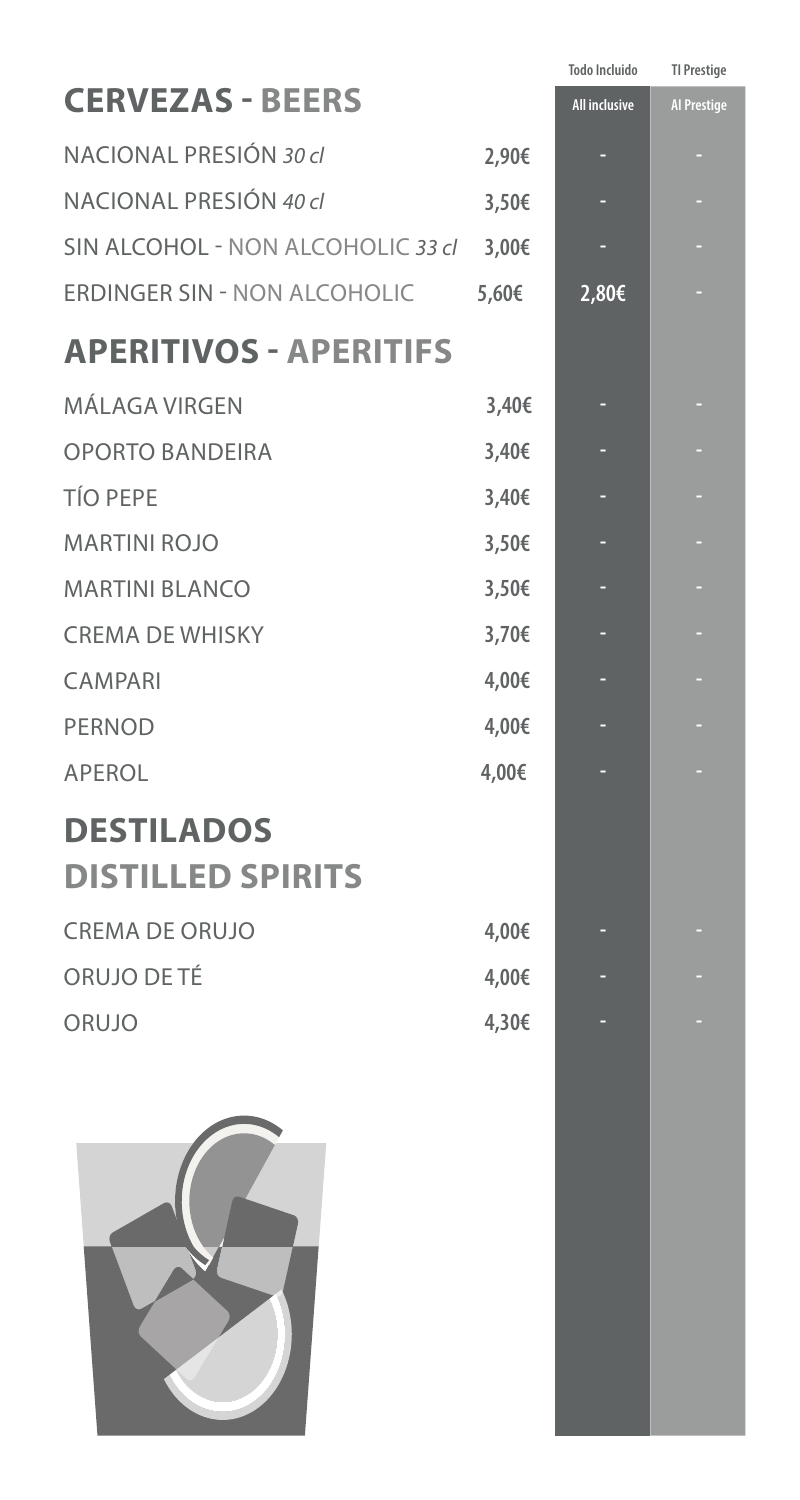| <b>TI Prestige</b><br><b>Todo Incluido</b> |
|--------------------------------------------|
| <b>All inclusive</b><br><b>Al Prestige</b> |
| ٠                                          |
| ٠                                          |
| ٠                                          |
| 2,80€<br>٥                                 |
|                                            |
| ٠                                          |
| ٠                                          |
| ٠                                          |
| ٠                                          |
| ٥                                          |
| ٠                                          |
| ٠                                          |
| ٠                                          |
| ٠                                          |
|                                            |
|                                            |
|                                            |
|                                            |
|                                            |
|                                            |
|                                            |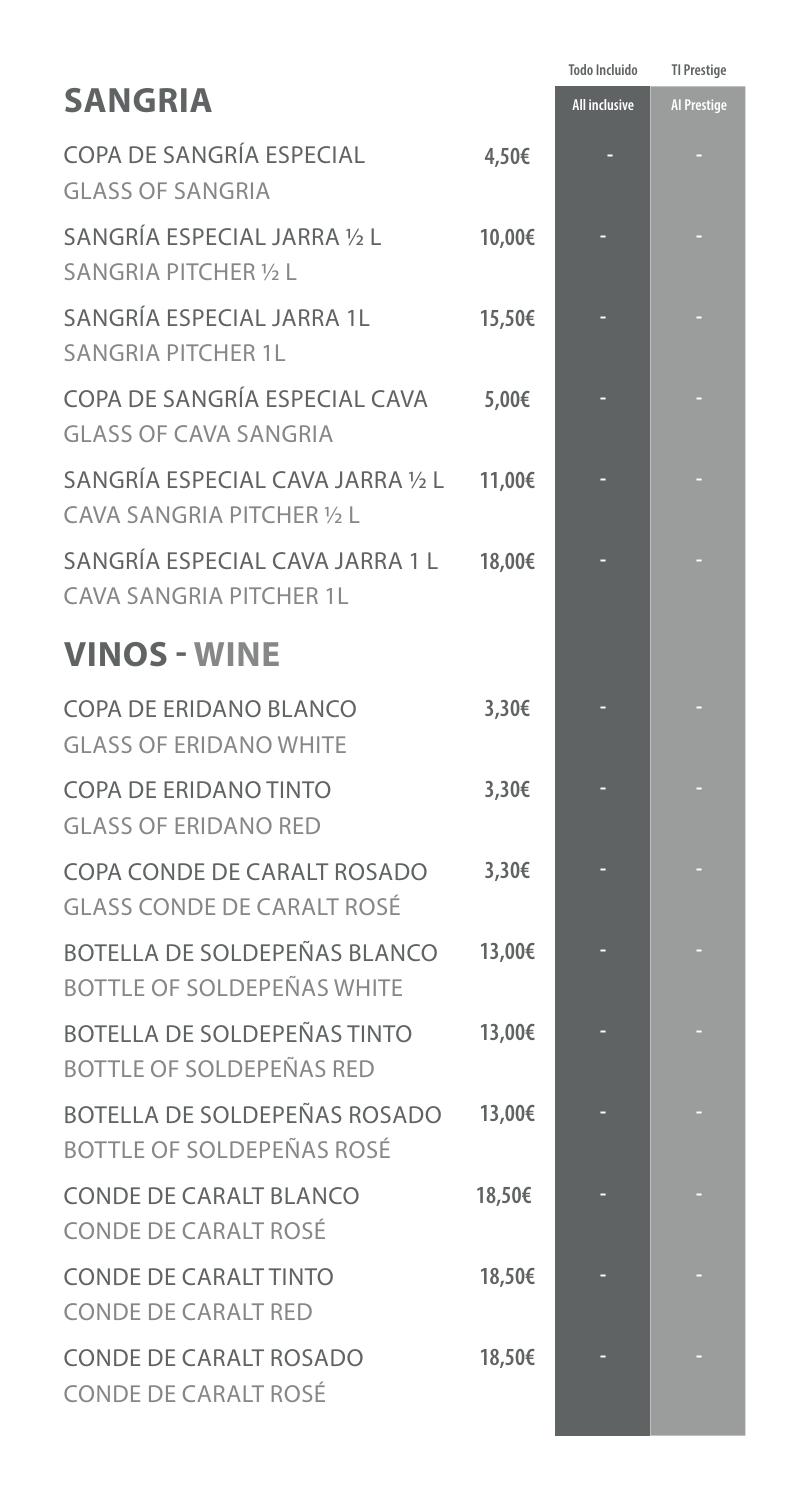|                                                                         |        | <b>Todo Incluido</b> | <b>TI Prestige</b> |
|-------------------------------------------------------------------------|--------|----------------------|--------------------|
| <b>SANGRIA</b>                                                          |        | <b>All inclusive</b> | <b>Al Prestige</b> |
| COPA DE SANGRÍA ESPECIAL<br><b>GLASS OF SANGRIA</b>                     | 4,50€  |                      |                    |
| SANGRÍA ESPECIAL JARRA 1/2 L<br><b>SANGRIA PITCHER 1/2 L</b>            | 10,00€ |                      |                    |
| SANGRÍA ESPECIAL JARRA 1L<br><b>SANGRIA PITCHER 1L</b>                  | 15,50€ |                      |                    |
| COPA DE SANGRÍA ESPECIAL CAVA<br><b>GLASS OF CAVA SANGRIA</b>           | 5,00€  |                      |                    |
| SANGRÍA ESPECIAL CAVA JARRA 1/2 L<br>CAVA SANGRIA PITCHER 1/2 L         | 11,00€ |                      |                    |
| SANGRÍA ESPECIAL CAVA JARRA 1 L<br><b>CAVA SANGRIA PITCHER 1L</b>       | 18,00€ |                      |                    |
| <b>VINOS - WINE</b>                                                     |        |                      |                    |
| COPA DE ERIDANO BLANCO<br><b>GLASS OF ERIDANO WHITE</b>                 | 3,30€  |                      |                    |
| <b>COPA DE ERIDANO TINTO</b><br><b>GLASS OF ERIDANO RED</b>             | 3,30€  |                      |                    |
| COPA CONDE DE CARALT ROSADO<br><b>GLASS CONDE DE CARALT ROSÉ</b>        | 3,30€  |                      |                    |
| BOTELLA DE SOLDEPEÑAS BLANCO<br><b>BOTTLE OF SOLDEPEÑAS WHITE</b>       | 13,00€ |                      |                    |
| <b>BOTELLA DE SOLDEPEÑAS TINTO</b><br><b>BOTTLE OF SOLDEPEÑAS RED</b>   | 13,00€ |                      |                    |
| <b>BOTELLA DE SOLDEPEÑAS ROSADO</b><br><b>BOTTLE OF SOLDEPEÑAS ROSÉ</b> | 13,00€ |                      |                    |
| <b>CONDE DE CARALT BLANCO</b><br><b>CONDE DE CARALT ROSÉ</b>            | 18,50€ |                      |                    |
| <b>CONDE DE CARALT TINTO</b><br><b>CONDE DE CARALT RED</b>              | 18,50€ |                      |                    |
| <b>CONDE DE CARALT ROSADO</b><br><b>CONDE DE CARALT ROSÉ</b>            | 18,50€ |                      |                    |

٠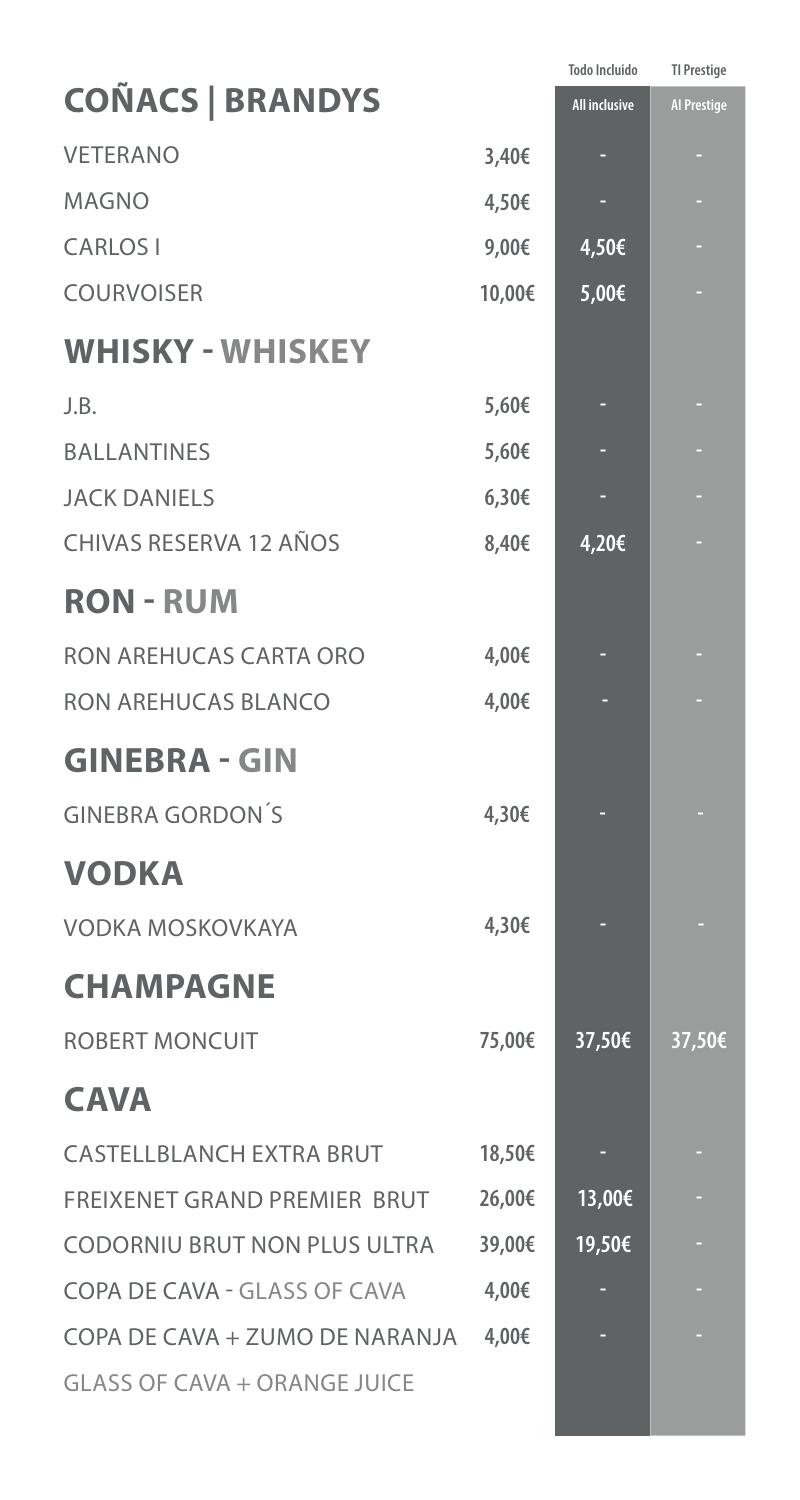|        | <b>Todo Incluido</b> | <b>TI Prestige</b> |
|--------|----------------------|--------------------|
|        | <b>All inclusive</b> | <b>Al Prestige</b> |
| 3,40€  |                      |                    |
| 4,50€  |                      |                    |
| 9,00€  | 4,50€                |                    |
| 10,00€ | 5,00€                |                    |
|        |                      |                    |
| 5,60€  |                      |                    |
| 5,60€  |                      |                    |
| 6,30€  |                      |                    |
| 8,40€  | 4,20€                |                    |
|        |                      |                    |
| 4,00€  | ٠                    |                    |
| 4,00€  |                      |                    |
|        |                      |                    |
| 4,30€  |                      |                    |
|        |                      |                    |
| 4,30€  |                      |                    |
|        |                      |                    |
| 75,00€ | 37,50€               | 37,50€             |
|        |                      |                    |
| 18,50€ | ٠                    |                    |
| 26,00€ | 13,00€               |                    |
| 39,00€ | 19,50€               |                    |
| 4,00€  |                      |                    |
| 4,00€  |                      |                    |
|        |                      |                    |
|        |                      |                    |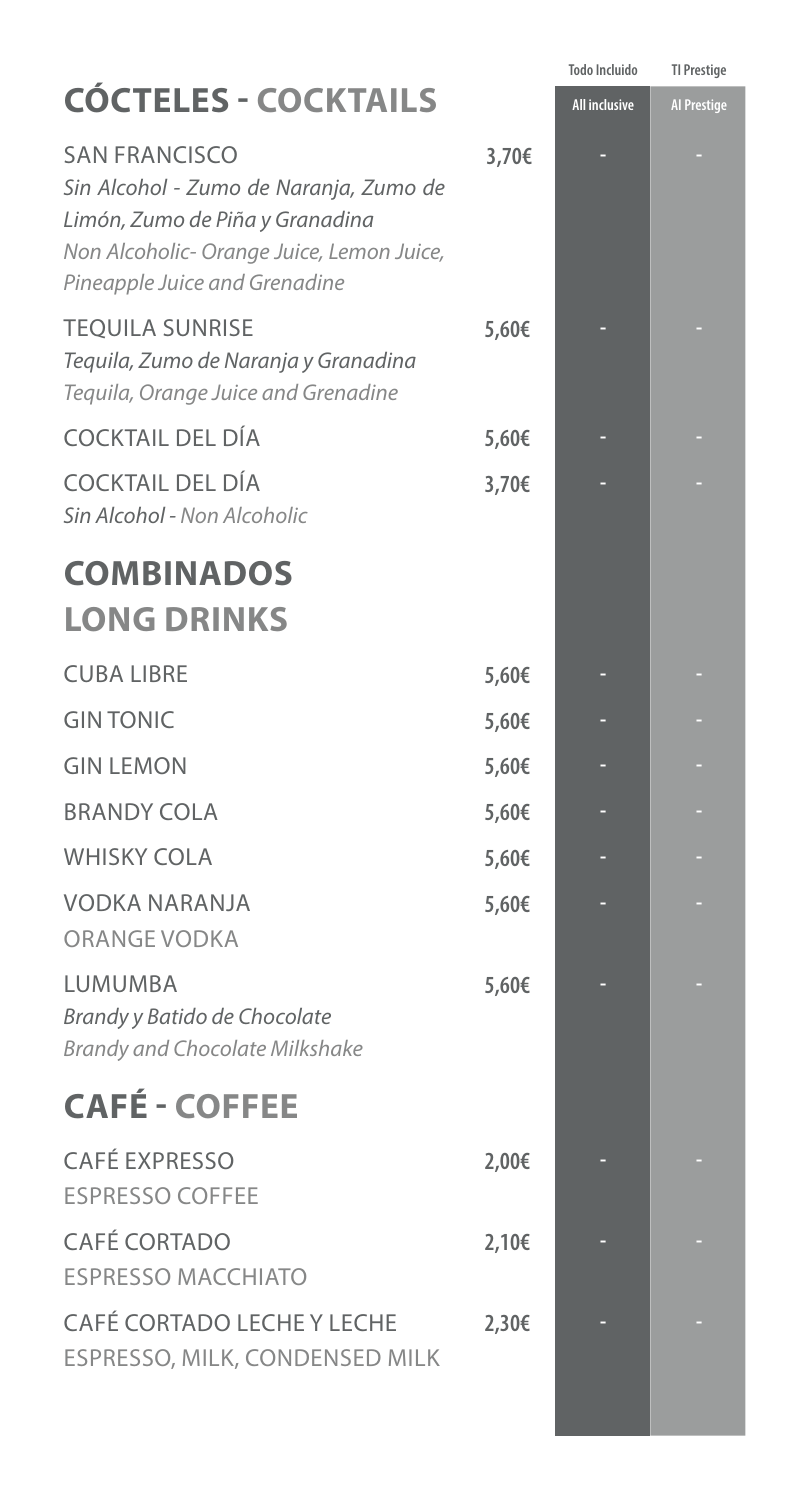|                                                                                                                                                                                 |       | Todo Incluido        | <b>TI Prestige</b> |
|---------------------------------------------------------------------------------------------------------------------------------------------------------------------------------|-------|----------------------|--------------------|
| <b>CÓCTELES - COCKTAILS</b>                                                                                                                                                     |       | <b>All inclusive</b> | <b>Al Prestige</b> |
| <b>SAN FRANCISCO</b><br>Sin Alcohol - Zumo de Naranja, Zumo de<br>Limón, Zumo de Piña y Granadina<br>Non Alcoholic- Orange Juice, Lemon Juice,<br>Pineapple Juice and Grenadine | 3,70€ |                      |                    |
| <b>TEQUILA SUNRISE</b><br>Tequila, Zumo de Naranja y Granadina<br>Tequila, Orange Juice and Grenadine                                                                           | 5,60€ |                      |                    |
| <b>COCKTAIL DEL DÍA</b>                                                                                                                                                         | 5,60€ |                      |                    |
| <b>COCKTAIL DEL DÍA</b><br>Sin Alcohol - Non Alcoholic                                                                                                                          | 3,70€ |                      |                    |
| <b>COMBINADOS</b>                                                                                                                                                               |       |                      |                    |
| <b>LONG DRINKS</b>                                                                                                                                                              |       |                      |                    |
| <b>CUBA LIBRE</b>                                                                                                                                                               | 5,60€ |                      |                    |
| <b>GIN TONIC</b>                                                                                                                                                                | 5,60€ |                      |                    |
| <b>GIN LEMON</b>                                                                                                                                                                | 5,60€ |                      |                    |
| <b>BRANDY COLA</b>                                                                                                                                                              | 5,60€ |                      |                    |
| <b>WHISKY COLA</b>                                                                                                                                                              | 5,60€ |                      |                    |
| <b>VODKA NARANJA</b><br><b>ORANGE VODKA</b>                                                                                                                                     | 5,60€ |                      |                    |
| <b>LUMUMBA</b><br>Brandy y Batido de Chocolate<br><b>Brandy and Chocolate Milkshake</b>                                                                                         | 5,60€ |                      |                    |
| <b>CAFÉ - COFFEE</b>                                                                                                                                                            |       |                      |                    |
| <b>CAFÉ EXPRESSO</b><br><b>ESPRESSO COFFEE</b>                                                                                                                                  | 2,00€ |                      |                    |
| <b>CAFÉ CORTADO</b><br><b>ESPRESSO MACCHIATO</b>                                                                                                                                | 2,10€ |                      |                    |
| <b>CAFÉ CORTADO LECHE Y LECHE</b><br>ESPRESSO, MILK, CONDENSED MILK                                                                                                             | 2,30€ |                      |                    |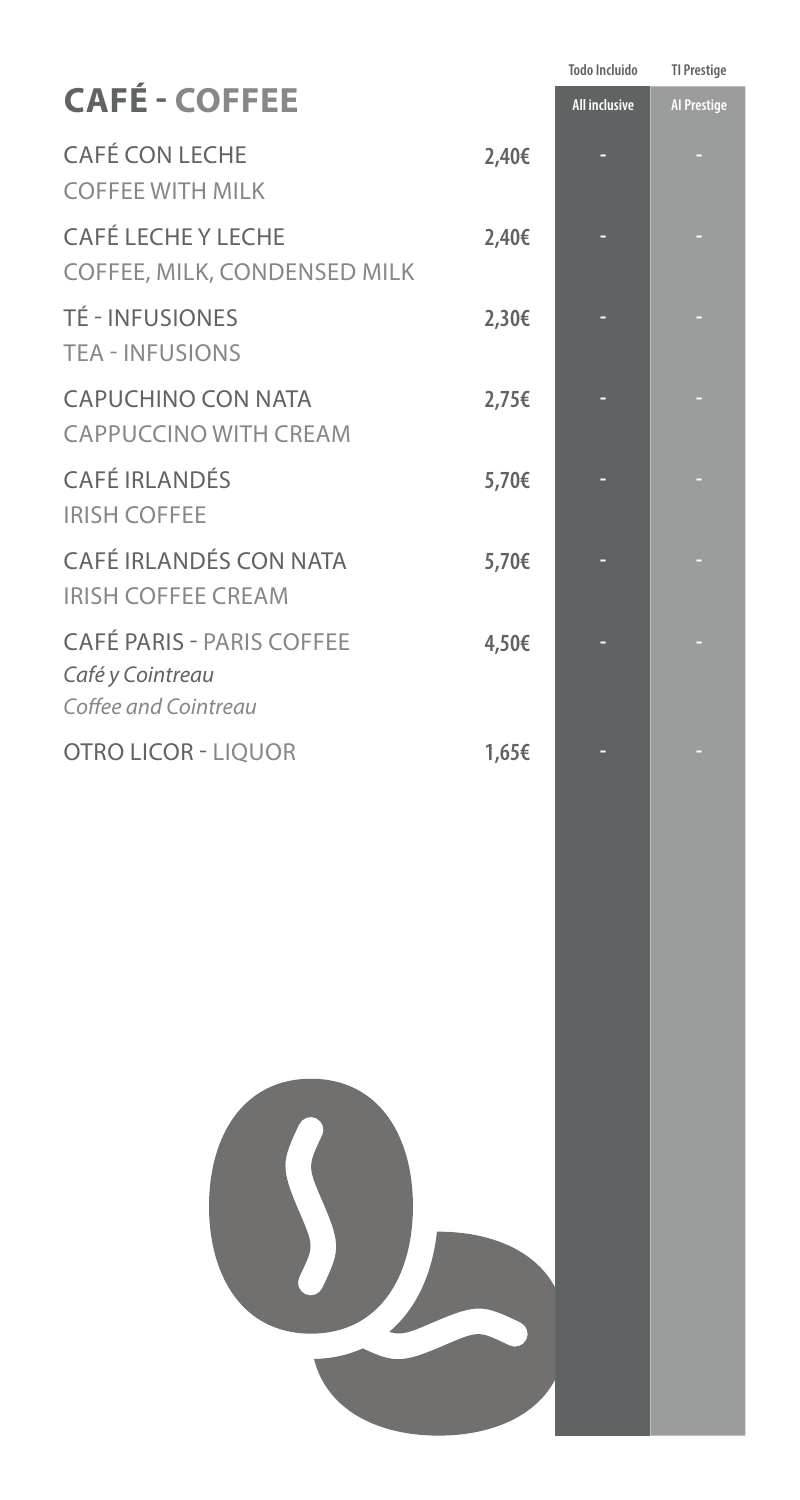|                                                                              |       | <b>Todo Incluido</b> | <b>TI Prestige</b> |
|------------------------------------------------------------------------------|-------|----------------------|--------------------|
| <b>CAFÉ - COFFEE</b>                                                         |       | <b>All inclusive</b> | <b>Al Prestige</b> |
| <b>CAFÉ CON LECHE</b><br><b>COFFEE WITH MILK</b>                             | 2,40€ |                      |                    |
| <b>CAFÉ LECHE Y LECHE</b><br>COFFEE, MILK, CONDENSED MILK                    | 2,40€ |                      |                    |
| <b>TÉ - INFUSIONES</b><br><b>TEA - INFUSIONS</b>                             | 2,30€ |                      |                    |
| <b>CAPUCHINO CON NATA</b><br><b>CAPPUCCINO WITH CREAM</b>                    | 2,75€ |                      |                    |
| <b>CAFÉ IRLANDÉS</b><br><b>IRISH COFFEE</b>                                  | 5,70€ |                      |                    |
| CAFÉ IRLANDÉS CON NATA<br><b>IRISH COFFEE CREAM</b>                          | 5,70€ |                      |                    |
| <b>CAFÉ PARIS - PARIS COFFEE</b><br>Café y Cointreau<br>Coffee and Cointreau | 4,50€ |                      |                    |
| <b>OTRO LICOR - LIQUOR</b>                                                   | 1,65€ |                      |                    |